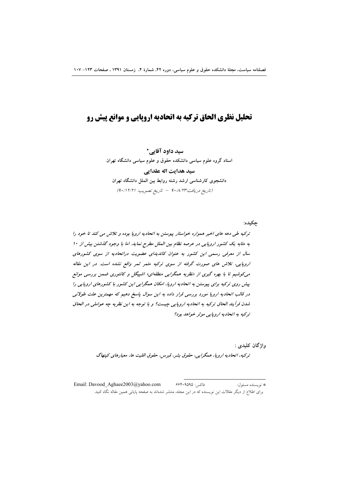# تحلیل نظری الحاق ترکیه به اتحادیه اروپایی و موانع پیش رو

سید داود آقایی\* استاد گروه علوم سیاسی دانشکده حقوق و علوم سیاسی دانشگاه تهران سید هدایت اله عقدایی دانشجوی کارشناسی ارشد رشته روابط بین الملل دانشگاه تهران (تاريخ دريافت:٩٠/٨/٢٣ - تاريخ تصويب: ٩٠/١٢/٢١)

حكىدە: ترکیه طی دهه های اخیر همواره خواستار پیوستن به اتحادیه اروپا بوده و تلاش می کند تا خود را به مثابه یک کشور اروپایی در عرصه نظام بین الملل مطرح نماید. اما با وجود گذشتن بیش از ۱۰ سال از معرفی رسمی این کشور به عنوان کاندیدای عضویت دراتحادیه از سوی کشورهای اروپایی، تلاش مای صورت گرفته از سوی ترکیه مثمر ثمر واقع نشده است. در این مقاله می کوشیم تا با بهره گیری از «نظریه همگرایی منطقهای» اشپیگل و کانتوری ضمن بررسی موانع پیش روی ترکیه برای پیوستن به اتحادیه اروپا، امکان همگرایی این کشور با کشورهای اروپایی را در قالب اتحادیه اروپا مورد بررسی قرار داده به این سوال پاسخ دهیم که مهمترین علت طولانی شدن فرآيند الحاق تركيه به اتحاديه اروپايي چيست؟ و با توجه به اين نظريه چه عواملي در الحاق ترکیه به اتحادیه اروپایی موثر خواهد بود؟

> واژگان كليدي : تر کیه، اتحادیه اروپا، همگرایی، حقوق بشیر، قبرس، حقوق اقلیت ها، معیارهای کینهاگ

فاكس: ۶۶۴۰۹۵۹۵ Email: Davood Aghaee2003@yahoo.com # نو ىسندە مسئول: برای اطلاع از دیگر مقالات این نویسنده که در این مجله، منتشر شدهاند به صفحه پایانی همین مقاله نگاه کنید.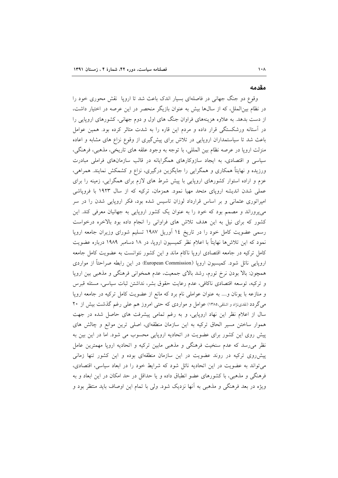#### مقدمه

وقوع دو جنگ جهانی در فاصلهای بسیار اندک باعث شد تا اروپا نقش محوری خود را در نظام بینالملل، که از سالها بیش به عنوان بازیگر منحصر در این عرصه در اختیار داشت، از دست بدهد. به علاوه هزینههای فراوان جنگ های اول و دوم جهانی، کشورهای اروپایی را در آستانه ورشکستگی قرار داده و مردم این قاره را به شدت متاثر کرده بود. همین عوامل باعث شد تا سیاستمداران اروپایی در تلاش برای پیشگیری از وقوع نزاع های مشابه و اعاده منزلت اروپا در عرصه نظام بین المللی، با توجه به وجود علقه های تاریخی، مذهبی، فرهنگی، سیاسی و اقتصادی، به ایجاد سازوکارهای همگرایانه در قالب سازمانهای فراملی مبادرت ورزیده و نهایتاً همکاری و همگرایی را جایگزین درگیری، نزاع و کشمکش نمایند. همراهی، عزم و اراده استوار کشورهای اروپایی با پیش شرط های لازم برای همگرایی، زمینه را برای عملی شدن اندیشه اروپای متحد مهیا نمود. همزمان، ترکیه که از سال ۱۹۲۳ با فروپاشی امپراتوری عثمانی و بر اساس قرارداد لوزان تاسیس شده بود، فکر اروپایی شدن را در سر می پروراند و مصمم بود که خود را به عنوان یک کشور اروپایی به جهانیان معرفی کند. این کشور که برای نیل به این هدف تلاش های فراوانی را انجام داده بود بالاخره درخواست رسمی عضویت کامل خود را در تاریخ ١٤ أوریل ١٩٨٧ تسلیم شورای وزیران جامعه اروپا نمود که این تلاشرها نهایتاً با اعلام نظر کمیسیون اروپا، در ۱۸ دسامبر ۱۹۸۹ درباره عضویت کامل ترکیه در جامعه اقتصادی اروپا ناکام ماند و این کشور نتوانست به عضویت کامل جامعه اروپایی نائل شود. کمیسیون اروپا (European Commission) در این رابطه صراحتاً از مواردی همچون: بالا بودن نرخ تورم، رشد بالای جمعیت، عدم همخوانی فرهنگی و مذهبی بین اروپا و ترکیه، توسعه اقتصادی ناکافی، عدم رعایت حقوق بشر، نداشتن ثبات سیاسی، مسئله قبرس و منازعه با یونان و.... به عنوان عواملی نام برد که مانع از عضویت کامل ترکیه در جامعه اروپا می گردد (نقدینژاد و اشلقی،۱۳۸۵) عوامل و مواردی که حتی امروز هم علی رغم گذشت بیش از ۲۰ سال از اعلام نظر این نهاد اروپایی، و به رغم تمامی پیشرفت های حاصل شده در جهت هموار ساختن مسیر الحاق ترکیه به این سازمان منطقهای، اصلی ترین موانع و چالش های پیش روی این کشور برای عضویت در اتحادیه اروپایی محسوب می شود. اما در این بین به نظر می رسد که عدم سنخیت فرهنگی و مذهبی مابین ترکیه و اتحادیه اروپا مهمترین عامل پیش روی ترکیه در روند عضویت در این سازمان منطقهای بوده و این کشور تنها زمانی می تواند به عضویت در این اتحادیه نائل شود که شرایط خود را در ابعاد سیاسی، اقتصادی، فرهنگی و مذهبی، با کشورهای عضو انطباق داده و یا حداقل در حد امکان در این ابعاد و به ویژه در بعد فرهنگی و مذهبی به آنها نزدیک شود. ولی با تمام این اوصاف باید منتظر بود و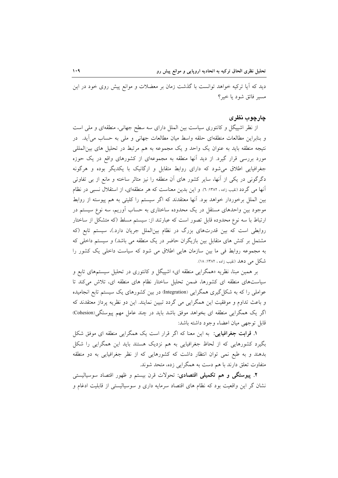دید که آیا ترکیه خواهد توانست با گذشت زمان بر معضلات و موانع پیش روی خود در این مسير فائق شود يا خبر؟

### چارچوب نظری

از نظر اشپیگل و کانتوری سیاست بین الملل دارای سه سطح جهانی، منطقهای و ملی است و بنابراین مطالعات منطقهای حلقه واسط میان مطالعات جهانی و ملی به حساب می آید. در نتیجه منطقه باید به عنوان یک واحد و یک مجموعه به هم مرتبط در تحلیل های بین|لمللی مورد بررسی قرار گیرد. از دید آنها منطقه به مجموعهای از کشورهای واقع در یک حوزه جغرافیایی اطلاق می شود که دارای روابط متقابل و ارگانیک با یکدیگر بوده و هرگونه دگرگونی در یکی از آنها، سایر کشور های آن منطقه را نیز متاثر ساخته و مانع از بی تفاوتی آنها می گردد (نقیب زاده ، ۱۳۸۲: ٦). و این بدین معناست که هر منطقهای، از استقلال نسبی در نظام بین الملل برخوردار خواهد بود. آنها معتقدند که اگر سیستم را کلیتی به هم پیوسته از روابط موجود بین واحدهای مستقل در یک محدوده ساختاری به حساب آوریم، سه نوع سیستم در ارتباط با سه نوع محدوده قابل تصور است که عبارتند از: سیستم مسلط (که متشکل از ساختار روابطی است که بین قدرتهای بزرگ در نظام بینالملل جریان دارد.)، سیستم تابع (که مشتمل بر کنش های متقابل بین بازیگران حاضر در یک منطقه می باشد) و سیستم داخلی که به مجموعه روابط في ما بين سازمان هايي اطلاق مي شود كه سياست داخلي يك كشور را شکل می دهد (نقیب زاده ، ۱۳۸۲: ۱۸).

بر همین مبنا، نظریه «همگرایی منطقه ای» اشپیگل و کانتوری در تحلیل سیستمهای تابع و سیاستهای منطقه ای کشورها، ضمن تحلیل ساختار نظام های منطقه ای، تلاش میکند تا عواملی را که به شکل گیری همگرایی (Integration) در بین کشورهای یک سیستم تابع انجامیده و باعث تداوم و موفقیت این همگرایی می گردد تبیین نمایند. این دو نظریه پرداز معتقدند که اگر یک همگرایی منطقه ای بخواهد موفق باشد باید در چند عامل مهم پیوستگی(Cohesion) قابل توجهي ميان اعضاء وجود داشته باشد:

**۱. قرابت جغرافیایی**: به این معنا که اگر قرار است یک همگرایی منطقه ای موفق شکل بگیرد کشورهایی که از لحاظ جغرافیایی به هم نزدیک هستند باید این همگرایی را شکل بدهند و به طبع نمی توان انتظار داشت که کشورهایی که از نظر جغرافیایی به دو منطقه متفاوت تعلق دارند با هم دست به همگرایی زده، متحد شوند.

**۲**. پیوستگی و هم تکمیلی اقتصادی: تحولات قرن بیستم و ظهور اقتصاد سوسیالیستی نشان گر این واقعیت بود که نظام های اقتصاد سرمایه داری و سوسیالیستی از قابلیت ادغام و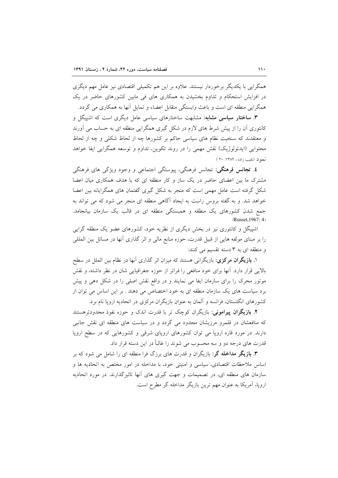همگرایی با یکدیگر برخوردار نیستند. علاوه بر این هم تکمیلی اقتصادی نیز عامل مهم دیگری در افزایش استحکام و تداوم بخشیدن به همکاری های فی مابین کشورهای حاضر در یک همگرایی منطقه ای است و باعث وابستگی متقابل اعضاء و تمایل آنها به همکاری می گردد.

**۳. ساختار سیاسی مشابه:** مشابهت ساختارهای سیاسی عامل دیگری است که اشپیگل و کانتوری اَن را از پیش شرط های لازم در شکل گیری همگرایی منطقه ای به حساب می اَورند و معتقدند که سنخیت نظام های سیاسی حاکم بر کشورها چه از لحاظ شکلی و چه از لحاظ محتوایی (ایدئولوژیک) نقش مهمی را در روند تکوین، تداوم و توسعه همگرایی ایفا خواهد نمود (نقب زاده ، ۱۳۸۲: ۲۰)

**٤. تجانس فرهنگي:** تجانس فرهنگي، پيوستگي اجتماعي و وجود ويژگي هاي فرهنگي مشترک ما بین اعضای حاضر در یک ساز و کار منطقه ای که با هدف همکاری میان اعضا شکل گرفته است عامل مهمی است که منجر به شکل گیری گفتمان های همگرایانه بین اعضا خواهد شد. و به گفته بروس راست به ایجاد آگاهی منطقه ای منجر می شود که می تواند به جمع شدن کشورهای یک منطقه و همبستگی منطقه ای در قالب یک سازمان بیانجامد. (Russet, 1967: 4)

اشپیگل و کانتوری نیز در بخش دیگری از نظریه خود، کشورهای عضو یک منطقه گرایی را بر مبنای مولفه هایی از قبیل قدرت، حوزه منابع مالی و اثر گذاری آنها در مسائل بین المللی و منطقه ای به ۳ دسته تقسیم می کنند:

۱. **بازیگران مرکزی**: بازیگرانی هستند که میزان اثر گذاری آنها در نظام بین الملل در سطح بالایی قرار دارد. آنها برای خود منافعی را فراتر از حوزه جغرافیایی شان در نظر داشته، و نقش موتور محرک را برای سازمان ایفا می نمایند و در واقع نقش اصلی را در شکل دهی و پیش برد سیاست های یک سازمان منطقه ای به خود اختصاص می دهند . بر این اساس می توان از کشورهای انگلستان، فرانسه و آلمان به عنوان بازیگران مرکزی در اتحادیه اروپا نام برد.

**۲. بازیگران پیرامونی**: بازیگران کوچک تر با قدرت اندک و حوزه نفوذ محدودترهستند که منافعشان در قلمرو مرزیشان محدود می گردد و در سیاست های منطقه ای نقش جانبی دارند. در مورد قاره اروپا می توان کشورهای اروپای شرقی و کشورهایی که در سطح اروپا قدرت های درجه دو و سه محسوب می شوند را غالباً در این دسته قرار داد.

**۳. بازیگر مداخله گر**: بازیگران و قدرت های برزگ فرا منطقه ای را شامل می شود که بر اساس ملاحظات اقتصادی، سیاسی و امنیتی خود، با مداخله در امور مختص به اتحادیه ها و سازمان های منطقه ای، در تصمیمات و جهت گیری های آنها تاثیرگذارند. در مورد اتحادیه اروپا، آمریکا به عنوان مهم ترین بازیگر مداخله گر مطرح است.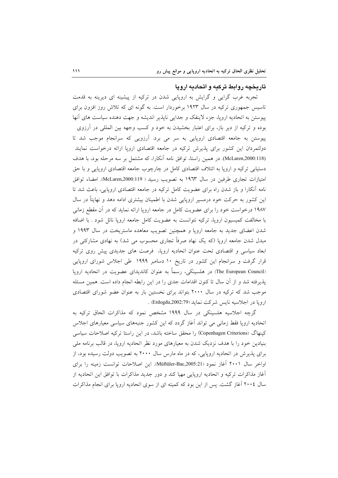## تاریخچه روابط ترکیه و اتحادیه ارویا

تجربه غرب گرایی و گرایش به اروپایی شدن در ترکیه از پیشینه ای دیرینه به قدمت تاسیس جمهوری ترکیه در سال ۱۹۲۳ برخوردار است. به گونه ای که تلاش روز افزون برای پیوستن به اتحادیه اروپا، جزء لاینفک و جدایی ناپذیر اندیشه و جهت دهنده سیاست های أنها بوده و ترکیه از دیر باز، برای اعتبار بخشیدن به خود و کسب وجهه بین المللی در آرزوی پیوستن به جامعه اقتصادی اروپایی به سر می برد. آرزویی که سرانجام موجب شد تا دولتمردان این کشور برای پذیرش ترکیه در جامعه اقتصادی اروپا ارائه درخواست نمایند (McLaren,2000:118). در همین راستا، توافق نامه آنکارا، که مشتمل بر سه مرحله بود، با هدف دستیابی ترکیه و اروپا به ائتلاف اقتصادی کامل در چارچوب جامعه اقتصادی اروپایی و با حق امتيازات تجاري طرفين در سال ١٩٦٣ به تصويب رسيد ( McLaren,2000:119). امضاء توافق نامه آنکارا و باز شدن راه برای عضویت کامل ترکیه در جامعه اقتصادی اروپایی، باعث شد تا این کشور به حرکت خود درمسیر اروپایی شدن با اطمینان بیشتری ادامه دهد و نهایتاً در سال ۱۹۸۷ درخواست خود را برای عضویت کامل در جامعه اروپا ارائه نماید که در آن مقطع زمانی با مخالفت کمیسیون اروپا، ترکیه نتوانست به عضویت کامل جامعه اروپا نائل شود . با اضافه شدن اعضای جدید به جامعه اروپا و همچنین تصویب معاهده ماستریخت در سال ۱۹۹۳ و مبدل شدن جامعه اروپا (که یک نهاد صرفاً تجاری محسوب می شد) به نهادی مشارکتی در ابعاد سیاسی و اقتصادی تحت عنوان اتحادیه اروپا، فرصت های جدیدی پیش روی ترکیه قرار گرفت و سرانجام این کشور در تاریخ ۱۰ دسامبر ۱۹۹۹ طی اجلاس شورای اروپایی (The European Council) در هلسینکی، رسماً به عنوان کاندیدای عضویت در اتحادیه اروپا پذیرفته شد و از آن سال تا کنون اقدامات جدی را در این رابطه انجام داده است. همین مسئله موجب شد که ترکیه در سال ۲۰۰۰ بتواند برای نخستین بار به عنوان عضو شورای اقتصادی اروپا در اجلاسیه نایس شرکت نماید (Erdogdu,2002:79) .

گرچه اجلاسیه هلسینکی در سال ۱۹۹۹ مشخص نمود که مذاکرات الحاق ترکیه به اتحادیه اروپا فقط زمانی می تواند آغاز گردد که این کشور جنبههای سیاسی معیارهای اجلاس كينهاگ (Copenhagen Criterions) را محقق ساخته باشد، در اين راستا تركيه اصلاحات سياسي بنیادین خود را با هدف نزدیک شدن به معیارهای مورد نظر اتحادیه اروپا، در قالب برنامه ملی برای پذیرش در اتحادیه اروپایی، که در ماه مارس سال ۲۰۰۰ به تصویب دولت رسیده بود، از اواخر سال ۲۰۰۱ آغاز نمود (Müftüler-Bac,2005:21). این اصلاحات توانست زمینه را برای أغاز مذاكرات تركيه و اتحاديه اروپايي مهيا كند و دور جديد مذاكرات با توافق اين اتحاديه از سال ٢٠٠٤ آغاز گشت. پس از این بود که کمیته ای از سوی اتحادیه اروپا برای انجام مذاکرات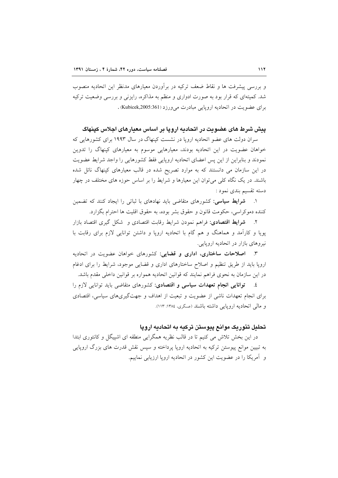و بررسی پیشرفت ها و نقاط ضعف ترکیه در برآوردن معیارهای مدنظر این اتحادیه منصوب شد. کمیتهای که قرار بود به صورت ادواری و منظم به مذاکره، رایزنی و بررسی وضعیت ترکیه برای عضویت در اتحادیه اروپایی مبادرت می ورزد (Kubicek,2005:361).

ییش شرط های عضویت در اتحادیه ارویا بر اساس معیارهای اجلاس کینهاگ

سران دولت های عضو اتحادیه اروپا در نشست کپنهاگ در سال ۱۹۹۳ برای کشورهایی که خواهان عضویت در این اتحادیه بودند، معیارهایی موسوم به معیارهای کپنهاگ را تدوین نمودند و بنابراین از این پس اعضای اتحادیه اروپایی فقط کشورهایی را واجد شرایط عضویت در این سازمان می دانستند که به موارد تصریح شده در قالب معیارهای کپنهاگ نائل شده باشند. در یک نگاه کلی می توان این معیارها و شرایط را بر اساس حوزه های مختلف در چهار دسته تقسیم بندی نمود :

۱. شرایط سیاسی: کشورهای متقاضی باید نهادهای با ثباتی را ایجاد کنند که تضمین كننده دموكراسي، حكومت قانون و حقوق بشر بوده، به حقوق اقليت ها احترام بگزارد.

۲. شرایط اقتصادی: فراهم نمودن شرایط رقابت اقتصادی و شکل گیری اقتصاد بازار پویا و کارآمد و هماهنگ و هم گام با اتحادیه اروپا و داشتن توانایی لازم برای رقابت با نیروهای بازار در اتحادیه اروپایی.

۳. اصلاحات ساختاری، اداری و قضایی: کشورهای خواهان عضویت در اتحادیه اروپا باید از طریق تنظیم و اصلاح ساختارهای اداری و قضایی موجود، شرایط را برای ادغام در این سازمان به نحوی فراهم نمایند که قوانین اتحادیه همواره بر قوانین داخلی مقدم باشد.

٤. توانایی انجام تعهدات سیاسی و اقتصادی: کشورهای متقاضی باید توانایی لازم را برای انجام تعهدات ناشی از عضویت و تبعیت از اهداف و جهتگیریهای سیاسی، اقتصادی و مالی اتحادیه اروپایی داشته باشند (عسگری، ۱۳۸٤: ۱۱۳).

## تحلیل تئوریک موانع پیوستن ترکیه به اتحادیه اروپا

در این بخش تلاش می کنیم تا در قالب نظریه همگرایی منطقه ای اشپیگل و کانتوری ابتدا به تبیین موانع پیوستن ترکیه به اتحادیه اروپا پرداخته و سپس نقش قدرت های بزرگ اروپایی و آمریکا را در عضویت این کشور در اتحادیه اروپا ارزیابی نماییم.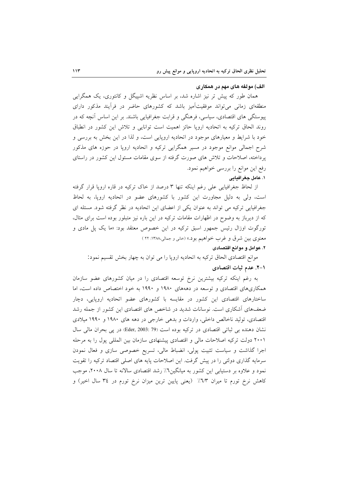### الف) مولفه های مهم در همکاری

همان طور که پیش تر نیز اشاره شد، بر اساس نظریه اشییگل و کانتوری، یک همگرایی منطقهای زمانی می تواند موفقیتآمیز باشد که کشورهای حاضر در فرآیند مذکور دارای پیوستگی های اقتصادی، سیاسی، فرهنگی و قرابت جغرافیایی باشند. بر این اساس آنچه که در روند الحاق ترکیه به اتحادیه اروپا حائز اهمیت است توانایی و تلاش این کشور در انطباق خود با شرایط و معیارهای موجود در اتحادیه اروپایی است، و لذا در این بخش به بررسی و شرح اجمالي موانع موجود در مسير همگرايي ترکيه و اتحاديه اروپا در حوزه هاي مذکور یرداخته، اصلاحات و تلاش های صورت گرفته از سوی مقامات مسئول این کشور در راستای رفع این موانع را بررسی خواهیم نمود. ١. عامل جغرافيايي

از لحاظ جغرافیایی علی رغم اینکه تنها ۳ درصد از خاک ترکیه در قاره اروپا قرار گرفته است، ولی به دلیل مجاورت این کشور با کشورهای عضو در اتحادیه اروپا، به لحاظ جغرافیایی ترکیه می تواند به عنوان یکی از اعضای این اتحادیه در نظر گرفته شود. مسئله ای که از دیرباز به وضوح در اظهارات مقامات ترکیه در این باره نیز متبلور بوده است برای مثال، تورگوت اوزال رئیس جمهور اسبق ترکیه در این خصوص معتقد بود: «ما یک پل مادی و معنوي بين شرق و غرب خواهيم بود.» (خاني و جمالي،١٣٨٨: ٢٢ )

### ۲. عوامل و موانع اقتصادی

موانع اقتصادی الحاق ترکیه به اتحادیه اروپا را می توان به چهار بخش تقسیم نمود: ۰۱–۲. عدم ثبات اقتصادی

به رغم اینکه ترکیه بیشترین نرخ توسعه اقتصادی را در میان کشورهای عضو سازمان همکاریهای اقتصادی و توسعه در دهههای ۱۹۸۰ و ۱۹۹۰ به خود اختصاص داده است، اما ساختارهای اقتصادی این کشور در مقایسه با کشورهای عضو اتحادیه اروپایی، دچار ضعفهای آشکاری است. نوسانات شدید در شاخص های اقتصادی این کشور از جمله رشد اقتصادی، تولید ناخالص داخلی، واردات و بدهی خارجی در دهه های ۱۹۸۰ و ۱۹۹۰ میلادی نشان دهنده بی ثباتی اقتصادی در ترکیه بوده است (Fder, 2003: 79) در یی بحران مالی سال ۲۰۰۱ دولت ترکیه اصلاحات مالی و اقتصادی پیشنهادی سازمان بین المللی پول را به مرحله اجرا گذاشت و سیاست تثبیت پولی، انضباط مالی، تسریع خصوصی سازی و فعال نمودن سرمایه گذاری دولتی را در پیش گرفت. این اصلاحات پایه های اصلی اقتصاد ترکیه را تقویت نمود و علاوه بر دستیابی این کشور به میانگین۲٪ رشد اقتصادی سالانه تا سال ۲۰۰۸، موجب کاهش نرخ تورم تا میران ٦/٣٪ (یعنی پایین ترین میزان نرخ تورم در ٣٤ سال اخیر) و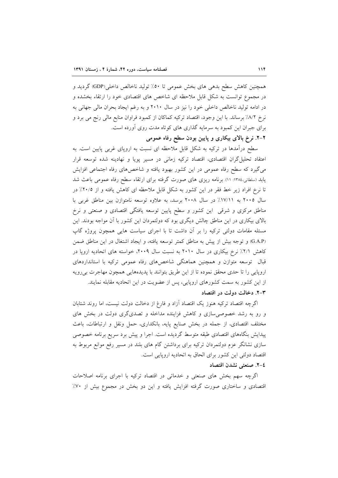همچنین کاهش سطح بدهی های بخش عمومی تا ٥٠٪ تولید ناخالص داخلی(GDP) گردید و در مجموع توانست به شکل قابل ملاحظه ای شاخص های اقتصادی خود را ارتقاء بخشده و در ادامه تولید ناخالص داخلی خود را نیز در سال ۲۰۱۰ و به رغم ایجاد بحران مالی جهانی به نرخ ٨/٢٪ برساند. با این وجود، اقتصاد ترکیه کماکان از کمبود فراوان منابع مالی رنج می برد و برای جبران این کمبود به سرمایه گذاری های کوتاه مدت روی آورده است. ۲–۲. نرخ بالای بیکاری و پایین بودن سطح رفاه عمومی

سطح درآمدها در ترکیه به شکل قابل ملاحظه ای نسبت به اروپای غربی پایین است. به اعتقاد تحلیل گران اقتصادی، اقتصاد ترکیه زمانی در مسیر پویا و نهادینه شده توسعه قرار میگیرد که سطح رفاه عمومی در این کشور بهبود یافته و شاخصهای رفاه اجتماعی افزایش یابد (سلطانی،۱۳۸٤: ۱۱). برنامه ریزی های صورت گرفته برای ارتقاء سطح رفاه عمومی باعث شد تا نرخ افراد زیر خط فقر در این کشور به شکل قابل ملاحظه ای کاهش یافته و از ۲۰/۵٪ در سال ۲۰۰۵ به ۱۷/۱۱٪ در سال ۲۰۰۸ برسد، به علاوه توسعه نامتوازن بین مناطق غربی با مناطق مرکزی و شرقی این کشور و سطح پایین توسعه یافتگی اقتصادی و صنعتی و نرخ بالای بیکاری در این مناطق چالش دیگری بود که دولتمردان این کشور با آن مواجه بودند. این مسئله مقامات دولتی ترکیه را بر آن داشت تا با اجرای سیاست هایی همچون پروژه گاپ (G.A.P) و توجه بیش از پیش به مناطق کمتر توسعه یافته، و ایجاد اشتغال در این مناطق ضمن کاهش ۲/۱٪ نرخ بیکاری در سال ۲۰۱۰ به نسبت سال ۲۰۰۹، خواسته های اتحادیه اروپا در قبال توسعه متوازن و همچنین هماهنگی شاخصهای رفاه عمومی ترکیه با استانداردهای اروپایی را تا حدی محقق نموده تا از این طریق بتوانند با پدیدههایی همچون مهاجرت بی رویه از این کشور به سمت کشورهای اروپایی، پس از عضویت در این اتحادیه مقابله نمایند. ۳-۲. دخالت دولت در اقتصاد

اگرچه اقتصاد ترکیه هنوز یک اقتصاد أزاد و فارغ از دخالت دولت نیست، اما روند شتابان و رو به رشد خصوصی سازی و کاهش فزاینده مداخله و تصدیگری دولت در بخش های مختلف اقتصادی، از جمله در بخش صنایع پایه، بانکداری، حمل ونقل و ارتباطات، باعث پیدایش بنگاههای اقتصادی طبقه متوسط گردیده است. اجرا و پیش برد سریع برنامه خصوصی سازی نشانگر عزم دولتمردان ترکیه برای برداشتن گام های بلند در مسیر رفع موانع مربوط به اقتصاد دولتی این کشور برای الحاق به اتحادیه اروپایی است.

## ٤-٢. صنعتي نشدن اقتصاد

اگرچه سهم بخش های صنعتی و خدماتی در اقتصاد ترکیه با اجرای برنامه اصلاحات اقتصادی و ساختاری صورت گرفته افزایش یافته و این دو بخش در مجموع بیش از ۷۰٪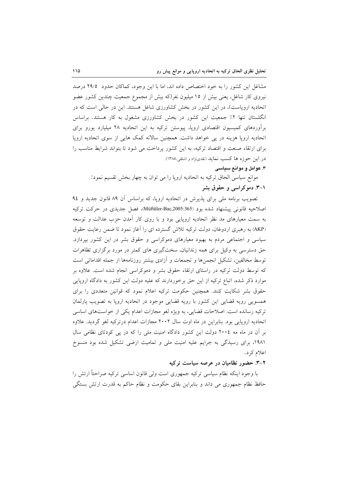مشاغل این کشور را به خود اختصاص داده اند، اما با این وجود، کماکان حدود ۲۹/۵ درصد نیروی کار شاغل، یعنی بیش از ۱۵ میلیون نفر(که بیش از مجموع جمعیت چندین کشور عضو اتحادیه اروپاست)، در این کشور در بخش کشاورزی شاغل هستند. این در حالی است که در انگلستان تنها ۲٪ جمعیت این کشور در بخش کشاورزی مشغول به کار هستند. براساس برآوردهای کمیسیون اقتصادی اروپا، پیوستن ترکیه به این اتحادیه ۲۸ میلیارد پورو برای اتحادیه اروپا هزینه در پی خواهد داشت. همچنین سالانه کمک هایی از سوی اتحادیه اروپا برای ارتقاء صنعت و اقتصاد ترکیه، به این کشور پرداخت می شود تا بتواند شرایط مناسب را در اين حوزه ها كسب نمايد (نقدىنژاد و اشلقى،١٣٨٥).

### ۳. عوامل و موانع سیاسی

موانع سیاسی الحاق ترکیه به اتحادیه اروپا را می توان به چهار بخش تقسیم نمود: ۰۱–۳. دموکراسی و حقوق بشر

تصویب برنامه ملی برای پذیرش در اتحادیه اروپا، که براساس آن ۸۹ قانون جدید و ۹٤ اصلاحيه قانوني پيشنهاد شده بود (Müftüler-Bac,2005:365)، فصل جديدي در حركت تركيه به سمت معیارهای مد نظر اتحادیه اروپایی بود و با روی کار آمدن حزب عدالت و توسعه (AKP) به رهبری اردوغان، دولت ترکیه تلاش گسترده ای را آغاز نمود تا ضمن رعایت حقوق سیاسی و اجتماعی مردم به بهبود معیارهای دموکراسی و حقوق بشر در این کشور بیردازد. حق دسترسی به وکیل برای همه زندانیان، سختگیری های کمتر در مورد برگزاری تظاهرات توسط مخالفین، تشکیل انجمنها و تجمعات و آزادی بیشتر روزنامهها از جمله اقداماتی است که توسط دولت ترکیه در راستای ارتقاء حقوق بشر و دموکراسی انجام شده است. علاوه بر موارد ذکر شده، اتباع ترکیه از این حق برخوردارند که علیه دولت این کشور به دادگاه اروپایی حقوق بشر شکایت کنند. همچنین حکومت ترکیه اعلام نمود که قوانین متعددی را برای همسویی رویه قضایی این کشور با رویه قضایی موجود در اتحادیه اروپا به تصویب پارلمان ترکیه رسانده است. اصلاحات قضایی، به ویژه لغو مجازات اعدام یکی از خواستهای اساسی اتحادیه اروپایی بود. بنابراین در ماه اوت سال ۲۰۰۲ مجازات اعدام درترکیه لغو گردید. علاوه بر آن در ماه مه ٢٠٠٤ دولت این کشور دادگاه امنیت ملی را که در پی کودتای نظامی سال ۱۹۸۱، برای رسیدگی به جرایم علیه امنیت ملی و تمامیت ارضی تشکیل شده بود منسوخ اعلام کر د.

## ۲-۳. حضور نظامیان در عرصه سیاست ترکیه

با وجود اینکه نظام سیاسی ترکیه جمهوری است ولی قانون اساسی ترکیه صراحتاً ارتش را حافظ نظام جمهوری می داند و بنابراین بقای حکومت و نظام حاکم به قدرت ارتش بستگی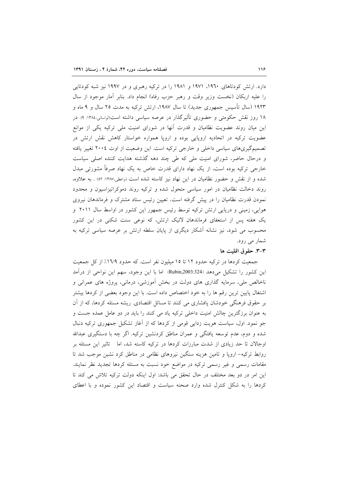دارد. ارتش کودتاهای ۱۹۶۰، ۱۹۷۱ و ۱۹۸۱ را در ترکیه رهبری و در ۱۹۹۷ نیز شبه کودتایی را عليه اربكان (نخست وزير وقت و رهبر حزب رفاه) انجام داد. بنابر آمار موجود از سال ۱۹۲۳ (سال تأسیس جمهوری جدید) تا سال ۱۹۸۷، ارتش ترکیه به مدت ۲۵ سال و ۹ ماه و ۱۸ روز نقش حکومتی و حضوری تأثیرگذار در عرصه سیاسی داشته است(لواسانی،۱۳۸٤: ۹). در این میان روند عضویت نظامیان و قدرت آنها در شورای امنیت ملی ترکیه یکی از موانع عضویت ترکیه در اتحادیه اروپایی بوده و اروپا همواره خواستار کاهش نقش ارتش در تصمیمگیریهای سیاسی داخلی و خارجی ترکیه است. این وضعیت از اوت ٢٠٠٤ تغییر یافته و درحال حاضر، شورای امنیت ملی که طی چند دهه گذشته هدایت کننده اصلی سیاست خارجی ترکیه بوده است، از یک نهاد دارای قدرت خاص به یک نهاد صرفاً مشورتی مبدل شده و از نقش و حضور نظامیان در این نهاد نیز کاسته شده است (واعظی،۱۳۸۷: ۵۲) . به علاوه، روند دخالت نظامیان در امور سیاسی متحول شده و ترکیه روند دموکراتیزاسیون و محدود نمودن قدرت نظامیان را در پیش گرفته است. تعیین رئیس ستاد مشترک و فرماندهان نیروی هوایی، زمینی و دریایی ارتش ترکیه توسط رئیس جمهور این کشور در اواسط سال ۲۰۱۱ و یک هفته پس از استعفای فرماندهان لائیک ارتش، که نوعی سنت شکنی در این کشور محسوب می شود، نیز نشانه آشکار دیگری از پایان سلطه ارتش بر عرصه سیاسی ترکیه به شمار می رود.

## ٣-٣. حقوق اقليت ها

جمعیت کردها در ترکیه حدود ۱۲ تا ۱۵ میلیون نفر است. که حدود ۱۹/۹٪ از کل جمعیت این کشور را تشکیل میدهد (Rubin,2003:324) اما با این وجود، سهم این نواحی از درآمد ناخالص ملي، سرمايه گذاري هاي دولت در بخش آموزشي، درماني، پروژه هاي عمراني و اشتغال پایین ترین رقم ها را به خود اختصاص داده است. با این وجود بعضی از کردها بیشتر بر حقوق فرهنگی خودشان پافشاری می کنند تا مسائل اقتصادی. ریشه مسئله کردها، که از آن به عنوان برزگترین چالش امنیت داخلی ترکیه یاد می کنند را باید در دو عامل عمده جست و جو نمود. اول، سیاست هویت زدایی قومی از کردها که از آغاز تشکیل جمهوری ترکیه دنبال شده و دوم، عدم توسعه یافتگی و عمران مناطق کردنشین ترکیه. اگر چه با دستگیری عبدالله اوجالان تا حد زیادی از شدت مبارزات کردها در ترکیه کاسته شد، اما تاثیر این مسئله بر روابط ترکیه- اروپا و تامین هزینه سنگین نیروهای نظامی در مناطق کرد نشین موجب شد تا مقامات رسمی و غیر رسمی ترکیه در مواضع خود نسبت به مسئله کردها تجدید نظر نمایند. این امر در دو بعد مختلف در حال تحقق می باشد: اول اینکه دولت ترکیه تلاش می کند تا کردها را به شکل کنترل شده وارد صحنه سیاست و اقتصاد این کشور نموده و با اعطای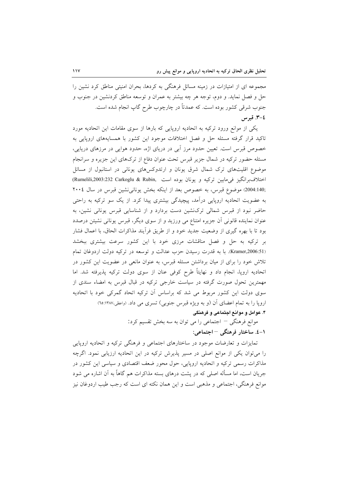مجموعه ای از امتیازات در زمینه مسائل فرهنگی به کردها، بحران امنیتی مناطق کرد نشین را حل و فصل نماید. و دوم، توجه هر چه بیشتر به عمران و توسعه مناطق کردنشین در جنوب و جنوب شرقی کشور بوده است. که عمدتاً در چارچوب طرح گاپ انجام شده است. ٤-٣. قبرس

یکی از موانع ورود ترکیه به اتحادیه اروپایی که بارها از سوی مقامات این اتحادیه مورد تاکید قرار گرفته مسئله حل و فصل اختلافات موجود این کشور با همسایههای اروپایی به خصوص قبرس است. تعیین حدود مرز آبی در دریای اژه، حدود هوایی در مرزهای دریایی، مسئله حضور ترکیه در شمال جزیر قبرس تحت عنوان دفاع از ترک&ای این جزیره و سرانجام موضوع اقلیتهای ترک شمال شرق یونان و ارتدوکسهای یونانی در استانبول از مسائل اختلاف برانگيز في مابين تركيه و يونان بوده است ,Rumelili,2003:232 Carkoglu & Rubin) ,2004:140) موضوع قبرس، به خصوص بعد از اینکه بخش یونانی نشین قبرس در سال ۲۰۰٤ به عضویت اتحادیه اروپایی درآمد، پیچیدگی بیشتری پیدا کرد. از یک سو ترکیه به راحتی حاضر نبود از قبرس شمالی ترکنشین دست بردارد و از شناسایی قبرس یونانی نشین، به عنوان نماینده قانونی آن جزیره امتناع می ورزید و از سوی دیگر، قبرس یونانی نشیتن درصدد بود تا با بهره گیری از وضعیت جدید خود و از طریق فرأیند مذاکرات الحاق، با اعمال فشار بر ترکیه به حل و فصل مناقشات مرزی خود با این کشور سرعت بیشتری ببخشد (Kramer,2006:51). با به قدرت رسیدن حزب عدالت و توسعه در ترکیه دولت اردوغان تمام تلاش خود را برای از میان برداشتن مسئله قبرس، به عنوان مانعی در عضویت این کشور در اتحادیه اروپا، انجام داد و نهایتاً طرح کوفی عنان از سوی دولت ترکیه پذیرفته شد. اما مهمترین تحول صورت گرفته در سیاست خارجی ترکیه در قبال قبرس به امضاء سندی از سوی دولت این کشور مربوط می شد که براساس آن ترکیه اتحاد گمرکی خود با اتحادیه اروپا را به تمام اعضای آن (و به ویژه قبرس جنوبی) تسری می داد. (واعظی،۱۳۸۷: ته) ۴. عوامل و موانع اجتماعی و فرهنگی

> موانع فرهنگی – اجتماعی را می توان به سه بخش تقسیم کرد: ١-٤. ساختار فرهنگی –اجتماعی:

تمایزات و تعارضات موجود در ساختارهای اجتماعی و فرهنگی ترکیه و اتحادیه اروپایی را میتوان یکی از موانع اصلی در مسیر پذیرش ترکیه در این اتحادیه ارزیابی نمود. اگرچه مذاکرات رسمی ترکیه و اتحادیه اروپایی، حول محور ضعف اقتصادی و سیاسی این کشور در جریان است، اما مسأله اصلی که در پشت درهای بسته مذاکرات هم گاهاً به آن اشاره می شود موانع فرهنگی، اجتماعی و مذهبی است و این همان نکته ای است که رجب طیب اردوغان نیز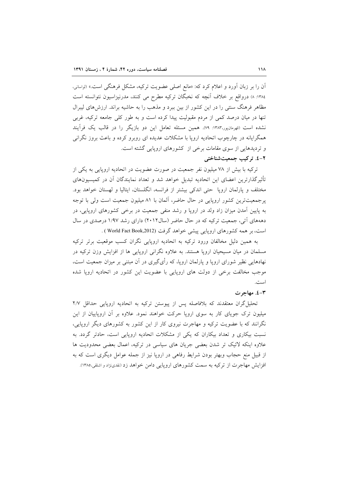آن را بر زبان آورد و اعلام کرد که: «مانع اصلی عضویت ترکیه، مشکل فرهنگی است.» (لواسانی، ١٣٨٤: ٨) درواقع بر خلاف آنچه كه نخبگان تركيه مطرح مى كنند، مدرنيزاسيون نتوانسته است مظاهر فرهنگ سنتی را در این کشور از بین ببرد و مذهب را به حاشیه براند. ارزش۵ای لیبرال تنها در میان درصد کمی از مردم مقبولیت پیدا کرده است و به طور کلی جامعه ترکیه، غربی نشده است (قهرمانپور،۱۳۸۳: ۷۹). همین مسئله تعامل این دو بازیگر را در قالب یک فرآیند همگرایانه در چارچوب اتحادیه اروپا با مشکلات عدیده ای روبرو کرده و باعث بروز نگرانی و تردیدهایی از سوی مقامات برخی از کشورهای اروپایی گشته است.

# ٢-٤. تركيب جمعيت شناختى

ترکیه با بیش از ۷۸ میلیون نفر جمعیت در صورت عضویت در اتحادیه اروپایی به یکی از تأثیرگذارترین اعضای این اتحادیه تبدیل خواهد شد و تعداد نمایندگان آن در کمیسیونهای مختلف و پارلمان اروپا حتی اندکی بیشتر از فرانسه، انگلستان، ایتالیا و لهستان خواهد بود. پرجمعیتترین کشور اروپایی در حال حاضر، آلمان با ۸۱ میلیون جمعیت است ولی با توجه به پایین آمدن میزان زاد ولد در اروپا و رشد منفی جمعیت در برخی کشورهای اروپایی، در دهههای آتی، جمعیت ترکیه که در حال حاضر (سال ۲۰۱۲) دارای رشد ۱/۹۷ درصدی در سال است، بر همه کشورهای اروپایی پیشی خواهد گرفت (World Fact Book,2012 ) .

به همین دلیل مخالفان ورود ترکیه به اتحادیه اروپایی نگران کسب موقعیت برتر ترکیه مسلمان در میان مسیحیان اروپا هستند. به علاوه نگرانی اروپایی ها از افزایش وزن ترکیه در نهادهایی نظیر شورای اروپا و پارلمان اروپا، که رأیگیری در آن مبتنی بر میزان جمعیت است، موجب مخالفت برخی از دولت های اروپایی با عضویت این کشور در اتحادیه اروپا شده است.

#### ۰۳-٤. مهاجرت

تحلیل گران معتقدند که بلافاصله پس از پیوستن ترکیه به اتحادیه اروپایی حداقل ۲/۷ میلیون ترک جویای کار به سوی اروپا حرکت خواهند نمود. علاوه بر آن اروپاییان از این نگرانند که با عضویت ترکیه و مهاجرت نیروی کار از این کشور به کشورهای دیگر اروپایی، نسبت بیکاری و تعداد بیکاران که یکی از مشکلات اتحادیه اروپایی است، حادتر گردد. به علاوه اینکه لائیک تر شدن بعضی جریان های سیاسی در ترکیه، اعمال بعضی محدودیت ها از قبیل منع حجاب وبهتر بودن شرایط رفاهی در اروپا نیز از جمله عوامل دیگری است که به افزایش مهاجرت از ترکیه به سمت کشورهای اروپایی دامن خواهد زد (نقدینژاد و اشلقی،۱۳۸۵).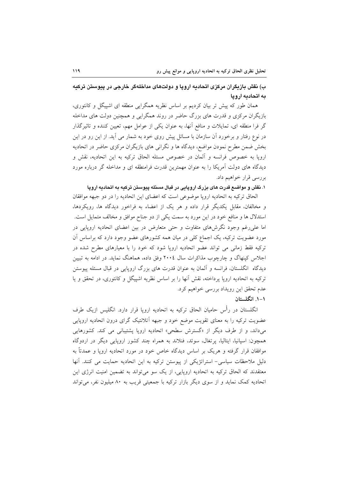# ب) نقش بازیگران مرکزی اتحادیه اروپا و دولتهای مداخلهگر خارجی در پیوستن ترکیه به اتحادیه ارویا

همان طور که پیش تر بیان کردیم بر اساس نظریه همگرایی منطقه ای اشپیگل و کانتوری، بازیگران مرکزی و قدرت های بزرگ حاضر در روند همگرایی و همچنین دولت های مداخله گر فرا منطقه ای، تمایلات و منافع آنها، به عنوان یکی از عوامل مهم، تعیین کننده و تاثیرگذار در نوع رفتار و برخورد آن سازمان با مسائل پیش روی خود به شمار می آید. از این رو در این بخش ضمن مطرح نمودن مواضع، دیدگاه ها و نگرانی های بازیگران مرکزی حاضر در اتحادیه اروپا به خصوص فرانسه و ألمان در خصوص مسئله الحاق ترکیه به این اتحادیه، نقش و دیدگاه های دولت آمریکا را به عنوان مهمترین قدرت فرامنطقه ای و مداخله گر درباره مورد بررسي قرار خواهيم داد.

## ۱. نقش و مواضـع قدرت های بزرگ اروپایی در قبال مسئله پیوستن ترکیه به اتحادیه اروپا

الحاق تركيه به اتحاديه ارويا موضوعي است كه اعضاى اين اتحاديه را در دو جبهه موافقان و مخالفان، مقابل یکدیگر قرار داده و هر یک از اعضاء به فراخور دیدگاه ها، رویکردها، استدلال ها و منافع خود در این مورد به سمت یکی از دو جناح موافق و مخالف متمایل است. اما علی رغم وجود نگرشهای متفاوت و حتی متعارض در بین اعضای اتحادیه اروپایی در مورد عضویت ترکیه، یک اجماع کلی در میان همه کشورهای عضو وجود دارد که براساس آن ترکیه فقط زمانی می تواند عضو اتحادیه اروپا شود که خود را با معیارهای مطرح شده در اجلاس کپنهاگ و چارچوب مذاکرات سال ٢٠٠٤ وفق داده، هماهنگ نماید. در ادامه به تبیین دیدگاه انگلستان، فرانسه و آلمان به عنوان قدرت های بزرگ اروپایی در قبال مسئله پیوستن ترکیه به اتحادیه اروپا پرداخته، نقش آنها را بر اساس نظریه اشیپگل و کانتوری، در تحقق و یا عدم تحقق اين رويداد بررسي خواهيم كرد. ۰۱–۰. انگلستان

انگلستان در رأس حامیان الحاق ترکیه به اتحادیه اروپا قرار دارد. انگلیس ازیک طرف عضویت ترکیه را به معنای تقویت موضع خود و جبهه آتلانتیک گرای درون اتحادیه اروپایی میداند، و از طرف دیگر از «گسترش سطحی» اتحادیه اروپا پشتیبانی می کند. کشورهایی همچون: اسپانیا، ایتالیا، پرتغال، سوئد، فنلاند به همراه چند کشور اروپایی دیگر در اردوگاه موافقان قرار گرفته و هریک بر اساس دیدگاه خاص خود در مورد اتحادیه ارویا و عمدتاً به دلیل ملاحظات سیاسی- استراتژیکی از پیوستن ترکیه به این اتحادیه حمایت می کنند. آنها معتقدند که الحاق ترکیه به اتحادیه اروپایی، از یک سو می تواند به تضمین امنیت انرژی این اتحادیه کمک نماید و از سوی دیگر بازار ترکیه با جمعیتی قریب به ۸۰ میلیون نفر، می تواند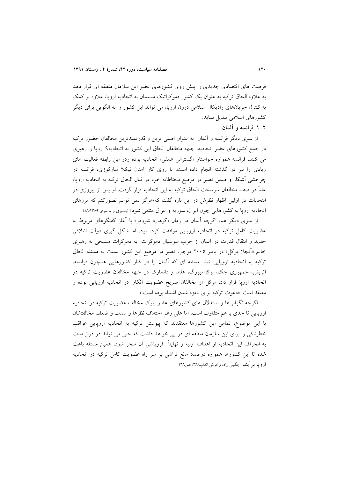فرصت های اقتصادی جدیدی را پیش روی کشورهای عضو این سازمان منطقه ای قرار دهد به علاوه الحاق ترکیه به عنوان یک کشور دموکراتیک مسلمان به اتحادیه اروپا، علاوه بر کمک به کنترل جریانهای رادیکال اسلامی درون اروپا، می تواند این کشور را به الگویی برای دیگر كشورهاي اسلامي تبديل نمايد.

## ٢-١. فرانسه و آلمان

از سوی دیگر فرانسه و آلمان ً به عنوان اصلی ترین و قدرتمندترین مخالفان حضور ترکیه در جمع کشورهای عضو اتحادیه، جبهه مخالفان الحاق این کشور به اتحادیه۹ اروپا را رهبری می کنند. فرانسه همواره خواستار «گسترش عمقی» اتحادیه بوده ودر این رابطه فعالیت های زیادی را نیز در گذشته انجام داده است. با روی کار آمدن نیکلا سارکوزی، فرانسه در چرخشی آشکار و ضمن تغییر در موضع محتاطانه خود در قبال الحاق ترکیه به اتحادیه اروپا، علناً در صف مخالفان سرسخت الحاق ترکیه به این اتحادیه قرار گرفت. او پس از پیروزی در انتخابات در اولین اظهار نظرش در این باره گفت که«هرگز نمی توانم تصورکنم که مرزهای اتحادیه اروپا به کشورهایی چون ایران، سوریه و عراق منتهی شود» (بصیری و موسوی،۱۳۸۹:۸۸)

از سوی دیگر هم، اگرچه آلمان در زمان «گرهارد شرودر» با آغاز گفتگوهای مربوط به عضویت کامل ترکیه در اتحادیه اروپایی موافقت کرده بود، اما شکل گیری دولت ائتلافی جدید و انتقال قدرت در آلمان از حزب سوسیال دموکرات به دموکرات مسیحی به رهبری خانم «أنجلا مركل» در پايير ٢٠٠٥ موجب تغيير در موضع اين كشور نسبت به مسئله الحاق ترکیه به اتحادیه اروپایی شد. مسئله ای که آلمان را در کنار کشورهایی همچون فرانسه، اتریش، جمهوری چک، لوکزامبورگ، هلند و دانمارک در جبهه مخالفان عضویت ترکیه در اتحادیه اروپا قرار داد. مرکل از مخالفان صریح عضویت آنکارا در اتحادیه اروپایی بوده و معتقد است: «دعوت تركيه براي نامزد شدن اشتباه بوده است.»

اگرچه نگرانی ها و استدلال های کشورهای عضو بلوک مخالف عضویت ترکیه در اتحادیه اروپایی تا حدی با هم متفاوت است، اما علی رغم اختلاف نظرها و شدت و ضعف مخالفتشان با این موضوع، تمامی این کشورها معتقدند که پیوستن ترکیه به اتحادیه اروپایی عواقب خطرناکی را برای این سازمان منطقه ای در پی خواهد داشت که حتی می تواند در دراز مدت به انحراف این اتحادیه از اهداف اولیه و نهایتاً ۖ فروپاشی آن منجر شود. همین مسئله باعث شده تا این کشورها همواره درصدد مانع تراشی بر سر راه عضویت کامل ترکیه در اتحادیه ارويا بر اّيند (چگيني زاده وخوش اندام،۱۳۸۸:ص۲۲)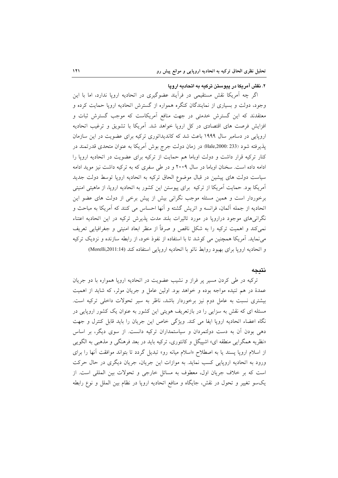## ۲. نقش آمریکا در پیوستن ترکیه به اتحادیه اروپا

اگر چه آمریکا نقش مستقیمی در فرآیند عضوگیری در اتحادیه اروپا ندارد، اما با این وجود، دولت و بسیاری از نمایندگان کنگره همواره از گسترش اتحادیه اروپا حمایت کرده و معتقدند که این گسترش خدمتی در جهت منافع آمریکاست که موجب گسترش ثبات و افزایش فرصت های اقتصادی در کل اروپا خواهد شد. أمریکا با تشویق و ترغیب اتحادیه اروپایی در دسامبر سال ۱۹۹۹ باعث شد که کاندیداتوری ترکیه برای عضویت در این سازمان پذیرفته شود (233 :Hale,2000) در زمان دولت جرج بوش اَمریکا به عنوان متحدی قدرتمند در کنار ترکیه قرار داشت و دولت اوباما هم حمایت از ترکیه برای عضویت در اتحادیه اروپا را ادامه داده است. سخنان اوباما در سال ۲۰۰۹ و در طی سفری که به ترکیه داشت نیز موید ادامه سیاست دولت های پیشین در قبال موضوع الحاق ترکیه به اتحادیه اروپا توسط دولت جدید آمریکا بود. حمایت آمریکا از ترکیه برای پیوستن این کشور به اتحادیه اروپا، از ماهیتی امنیتی برخوردار است و همین مسئله موجب نگرانی بیش از پیش برخی از دولت های عضو این اتحادیه از جمله آلمان، فرانسه و اتریش گشته و آنها احساس می کنند که آمریکا به مباحث و نگرانیهای موجود درارویا در مورد تاثیرات بلند مدت پذیرش ترکیه در این اتحادیه اعتناء نمی کند و اهمیت ترکیه را به شکل ناقص و صرفاً از منظر ابعاد امنیتی و جغرافیایی تعریف می نماید. آمریکا همچنین می کوشد تا با استفاده از نفوذ خود، از رابطه سازنده و نزدیک ترکیه و اتحادیه اروپا برای بهبود روابط ناتو با اتحادیه اروپایی استفاده کند (Morelli,2011:14)

### نتيجه

ترکیه در طی کردن مسیر پر فراز و نشیب عضویت در اتحادیه اروپا همواره با دو جریان عمدهٔ در هم تنیده مواجه بوده و خواهد بود. اولین عامل و جریان موثر، که شاید از اهمیت بیشتری نسبت به عامل دوم نیز برخوردار باشد، ناظر به سیر تحولات داخلی ترکیه است. مسئله ای که نقش به سزایی را در بازتعریف هویتی این کشور به عنوان یک کشور اروپایی در نگاه اعضاء اتحادیه اروپا ایفا می کند. ویژگی خاص این جریان را باید قابل کنترل و جهت دهی بودن آن به دست دولتمردان و سیاستمداران ترکیه دانست. از سوی دیگر، بر اساس «نظریه همگرایی منطقه ای» اشپیگل و کانتوری، ترکیه باید در بعد فرهنگی و مذهبی به الگویی از اسلام اروپا پسند یا به اصطلاح «اسلام میانه رو» تبدیل گردد تا بتواند موافقت آنها را برای ورود به اتحادیه اروپایی کسب نماید. به موازات این جریان، جریان دیگری در حال حرکت است که بر خلاف جریان اول، معطوف به مسائل خارجی و تحولات بین المللی است. از يکسو تغيير و تحول در نقش، جايگاه و منافع اتحاديه اروپا در نظام بين الملل و نوع رابطه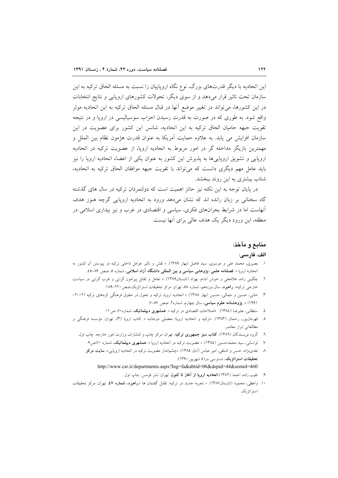این اتحادیه با دیگر قدرتهای بزرگ، نوع نگاه اروپاییان را نسبت به مسئله الحاق ترکیه به این سازمان تحت تاثیر قرار میدهد و از سوی دیگر، تحولات کشورهای اروپایی و نتایج انتخابات در این کشورها، می تواند در تغییر موضع آنها در قبال مسئله الحاق ترکیه به این اتحادیه موثر واقع شود. به طوری که در صورت به قدرت رسیدن احزاب سوسیالیسی در اروپا و در نتیجه تقویت جبهه حامیان الحاق ترکیه به این اتحادیه، شانس این کشور برای عضویت در این سازمان افزایش می یابد. به علاوه حمایت آمریکا به عنوان قدرت هژمون نظام بین الملل و مهمترین بازیگر مداخله گر در امور مربوط به اتحادیه اروپا، از عضویت ترکیه در اتحادیه اروپایی و تشویق اروپایی ها به پذیرش این کشور به عنوان یکی از اعضاء اتحادیه اروپا را نیز بايد عامل مهم ديگري دانست كه مي تواند با تقويت جبهه موافقان الحاق تركيه به اتحاديه، شتاب بیشتری به این روند ببخشد.

در پایان توجه به این نکته نیز حائز اهمیت است که دولتمردان ترکیه در سال های گذشته گاه سخنانی بر زبان رانده اند که نشان میدهد ورود به اتحادیه اروپایی گرچه هنوز هدف آنهاست اما در شرایط بحرانهای فکری، سیاسی و اقتصادی در غرب و نیز بیداری اسلامی در منطقه، این ورود دیگر یک هدف عالی برای آنها نیست.

## منابع و مآخذ:

#### الف. فارسى:

- ۱. بصیری، محمد علی و موسوی، سید فاضل (بهار ۱۳۸۹). « نقش و تاثیر عوامل داخلی ترکیه در پیوستن آن کشور به اتحادیه اروپا ». فصلنامه علمی-پژوهشی سیاسی و بین المللی دانشگاه آزاد اسلامی، شماره ۵، صص ۸۹–۵.
- ۲. چگینی زاده، غلامعلی و خوش اندام، بهزاد (تابستان۱۳۸۹). « تعامل و تقابل پیرامون گرایی و غرب گرایی در سیاست خارجي تركيه». **راهبرد**، سال نوزدهم، شماره ٥٥، تهران: مركز تحقيقات استراتژيك.صص ٢٢٠-١٨٩.
- ۳. خانی، حسین و جمالی، حسین (بهار ۱۳۸۸). « اتحادیه اروپا، ترکیه و تحول در حقوق فرهنگی کردهای ترکیه (۲۰۰۲-۱۹۹۱) ». پژوهشنامه علوم سیاسی، سال چهارم، شماره۲. صص ۵۷–۷.
	- ٤. مسلطانی، علیرضا (١٣٨٤). «اصلاحات اقتصادی در ترکیه ». همشهری **دیپلماتیک**، شماره ۷۰، ص ۱۱.
- ۵. قهرمانپور، رحمان (۱۳۸۳). «ترکیه و اتحادیه اروپا؛ معضلی دوجانبه ». کتاب اروپا (۳)، تهران: مؤسسه فرهنگی و مطالعاتی ابرار معاصر.
	- ٦. گروه نویسندگان (١٣٨٦). **کتاب سبز جمهوری ترکیه**. تهران: مرکز چاپ و انتشارات وزارت امور خارجه. چاپ اول.
		- ۷. گواسانی، سید محمدحسین (۱۳۸٤). « عضویت ترکیه در اتحادیه اروپا ». همشهری <mark>دیپلماتیک</mark>، شماره ۷۰،ص۹.
		- ۸ نقدینژاد، حسن و اشلقی، امیر عباس (آبان ۱۳۸۵). «چشمانداز عضویت ترکیه در اتحادیه اروپایی». **سایت مرکز** تحقیقات استراتژیک، دسترسی در(۵ شهریور ۱۳۹۰): .http://www.csr.ir/departments.aspx?lng=fa&abtid=06&depid=44&semid=460
			- ۹. نقيب زاده، احمد (١٣٨٢).ا**تحاديه اروپا از آغاز تا کنون**. تهران: نشر قومس. چاپ اول.
- ۱۰. واعظی، محمود (تابستان۱۳۸۷). « تجربه جدید در ترکیه: تقابل گفتمان ها ».**راهبرد، شماره ٤٧،** تهران: مرکز تحقیقات استر اتژیک.